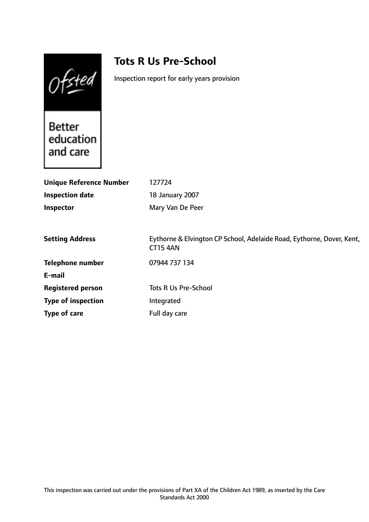Ofsted

# **Tots R Us Pre-School**

Inspection report for early years provision

Better Better<br>education and care

| <b>Unique Reference Number</b> | 127724                                                                                   |
|--------------------------------|------------------------------------------------------------------------------------------|
| <b>Inspection date</b>         | 18 January 2007                                                                          |
| Inspector                      | Mary Van De Peer                                                                         |
|                                |                                                                                          |
| <b>Setting Address</b>         | Eythorne & Elvington CP School, Adelaide Road, Eythorne, Dover, Kent,<br><b>CT15 4AN</b> |
| <b>Telephone number</b>        | 07944 737 134                                                                            |
| E-mail                         |                                                                                          |
| <b>Registered person</b>       | <b>Tots R Us Pre-School</b>                                                              |
| <b>Type of inspection</b>      | Integrated                                                                               |
| Type of care                   | Full day care                                                                            |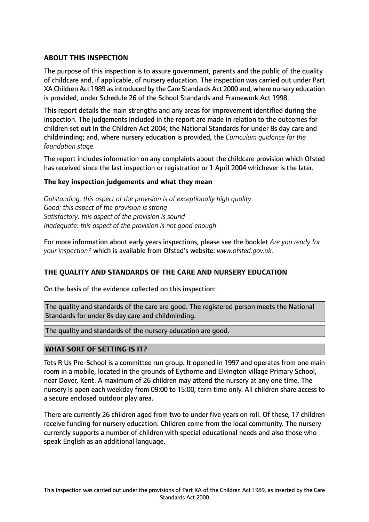## **ABOUT THIS INSPECTION**

The purpose of this inspection is to assure government, parents and the public of the quality of childcare and, if applicable, of nursery education. The inspection was carried out under Part XA Children Act 1989 as introduced by the Care Standards Act 2000 and, where nursery education is provided, under Schedule 26 of the School Standards and Framework Act 1998.

This report details the main strengths and any areas for improvement identified during the inspection. The judgements included in the report are made in relation to the outcomes for children set out in the Children Act 2004; the National Standards for under 8s day care and childminding; and, where nursery education is provided, the *Curriculum guidance for the foundation stage.*

The report includes information on any complaints about the childcare provision which Ofsted has received since the last inspection or registration or 1 April 2004 whichever is the later.

## **The key inspection judgements and what they mean**

*Outstanding: this aspect of the provision is of exceptionally high quality Good: this aspect of the provision is strong Satisfactory: this aspect of the provision is sound Inadequate: this aspect of the provision is not good enough*

For more information about early years inspections, please see the booklet *Are you ready for your inspection?* which is available from Ofsted's website: *www.ofsted.gov.uk.*

## **THE QUALITY AND STANDARDS OF THE CARE AND NURSERY EDUCATION**

On the basis of the evidence collected on this inspection:

The quality and standards of the care are good. The registered person meets the National Standards for under 8s day care and childminding.

The quality and standards of the nursery education are good.

## **WHAT SORT OF SETTING IS IT?**

Tots R Us Pre-School is a committee run group. It opened in 1997 and operates from one main room in a mobile, located in the grounds of Eythorne and Elvington village Primary School, near Dover, Kent. A maximum of 26 children may attend the nursery at any one time. The nursery is open each weekday from 09:00 to 15:00, term time only. All children share access to a secure enclosed outdoor play area.

There are currently 26 children aged from two to under five years on roll. Of these, 17 children receive funding for nursery education. Children come from the local community. The nursery currently supports a number of children with special educational needs and also those who speak English as an additional language.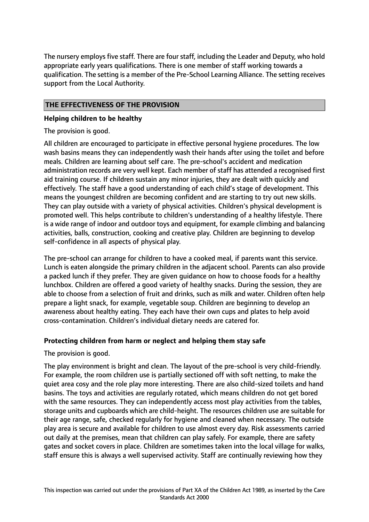The nursery employs five staff. There are four staff, including the Leader and Deputy, who hold appropriate early years qualifications. There is one member of staff working towards a qualification. The setting is a member of the Pre-School Learning Alliance. The setting receives support from the Local Authority.

## **THE EFFECTIVENESS OF THE PROVISION**

## **Helping children to be healthy**

The provision is good.

All children are encouraged to participate in effective personal hygiene procedures. The low wash basins means they can independently wash their hands after using the toilet and before meals. Children are learning about self care. The pre-school's accident and medication administration records are very well kept. Each member of staff has attended a recognised first aid training course. If children sustain any minor injuries, they are dealt with quickly and effectively. The staff have a good understanding of each child's stage of development. This means the youngest children are becoming confident and are starting to try out new skills. They can play outside with a variety of physical activities. Children's physical development is promoted well. This helps contribute to children's understanding of a healthy lifestyle. There is a wide range of indoor and outdoor toys and equipment, for example climbing and balancing activities, balls, construction, cooking and creative play. Children are beginning to develop self-confidence in all aspects of physical play.

The pre-school can arrange for children to have a cooked meal, if parents want this service. Lunch is eaten alongside the primary children in the adjacent school. Parents can also provide a packed lunch if they prefer. They are given guidance on how to choose foods for a healthy lunchbox. Children are offered a good variety of healthy snacks. During the session, they are able to choose from a selection of fruit and drinks, such as milk and water. Children often help prepare a light snack, for example, vegetable soup. Children are beginning to develop an awareness about healthy eating. They each have their own cups and plates to help avoid cross-contamination. Children's individual dietary needs are catered for.

# **Protecting children from harm or neglect and helping them stay safe**

The provision is good.

The play environment is bright and clean. The layout of the pre-school is very child-friendly. For example, the room children use is partially sectioned off with soft netting, to make the quiet area cosy and the role play more interesting. There are also child-sized toilets and hand basins. The toys and activities are regularly rotated, which means children do not get bored with the same resources. They can independently access most play activities from the tables, storage units and cupboards which are child-height. The resources children use are suitable for their age range, safe, checked regularly for hygiene and cleaned when necessary. The outside play area is secure and available for children to use almost every day. Risk assessments carried out daily at the premises, mean that children can play safely. For example, there are safety gates and socket covers in place. Children are sometimes taken into the local village for walks, staff ensure this is always a well supervised activity. Staff are continually reviewing how they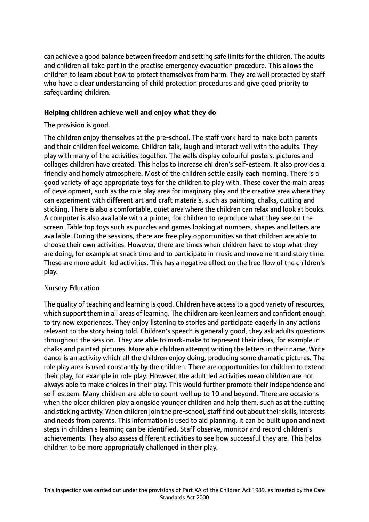can achieve a good balance between freedom and setting safe limits for the children. The adults and children all take part in the practise emergency evacuation procedure. This allows the children to learn about how to protect themselves from harm. They are well protected by staff who have a clear understanding of child protection procedures and give good priority to safeguarding children.

## **Helping children achieve well and enjoy what they do**

The provision is good.

The children enjoy themselves at the pre-school. The staff work hard to make both parents and their children feel welcome. Children talk, laugh and interact well with the adults. They play with many of the activities together. The walls display colourful posters, pictures and collages children have created. This helps to increase children's self-esteem. It also provides a friendly and homely atmosphere. Most of the children settle easily each morning. There is a good variety of age appropriate toys for the children to play with. These cover the main areas of development, such as the role play area for imaginary play and the creative area where they can experiment with different art and craft materials, such as painting, chalks, cutting and sticking. There is also a comfortable, quiet area where the children can relax and look at books. A computer is also available with a printer, for children to reproduce what they see on the screen. Table top toys such as puzzles and games looking at numbers, shapes and letters are available. During the sessions, there are free play opportunities so that children are able to choose their own activities. However, there are times when children have to stop what they are doing, for example at snack time and to participate in music and movement and story time. These are more adult-led activities. This has a negative effect on the free flow of the children's play.

# Nursery Education

The quality of teaching and learning is good. Children have accessto a good variety of resources, which support them in all areas of learning. The children are keen learners and confident enough to try new experiences. They enjoy listening to stories and participate eagerly in any actions relevant to the story being told. Children's speech is generally good, they ask adults questions throughout the session. They are able to mark-make to represent their ideas, for example in chalks and painted pictures. More able children attempt writing the letters in their name. Write dance is an activity which all the children enjoy doing, producing some dramatic pictures. The role play area is used constantly by the children. There are opportunities for children to extend their play, for example in role play. However, the adult led activities mean children are not always able to make choices in their play. This would further promote their independence and self-esteem. Many children are able to count well up to 10 and beyond. There are occasions when the older children play alongside younger children and help them, such as at the cutting and sticking activity. When children join the pre-school, staff find out about their skills, interests and needs from parents. This information is used to aid planning, it can be built upon and next steps in children's learning can be identified. Staff observe, monitor and record children's achievements. They also assess different activities to see how successful they are. This helps children to be more appropriately challenged in their play.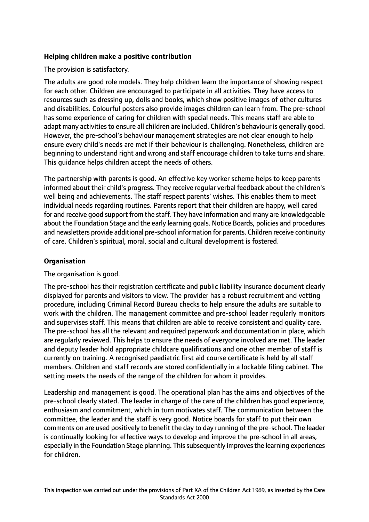## **Helping children make a positive contribution**

The provision is satisfactory.

The adults are good role models. They help children learn the importance of showing respect for each other. Children are encouraged to participate in all activities. They have access to resources such as dressing up, dolls and books, which show positive images of other cultures and disabilities. Colourful posters also provide images children can learn from. The pre-school has some experience of caring for children with special needs. This means staff are able to adapt many activities to ensure all children are included. Children's behaviour is generally good. However, the pre-school's behaviour management strategies are not clear enough to help ensure every child's needs are met if their behaviour is challenging. Nonetheless, children are beginning to understand right and wrong and staff encourage children to take turns and share. This guidance helps children accept the needs of others.

The partnership with parents is good. An effective key worker scheme helps to keep parents informed about their child's progress. They receive regular verbal feedback about the children's well being and achievements. The staff respect parents' wishes. This enables them to meet individual needs regarding routines. Parents report that their children are happy, well cared for and receive good support from the staff. They have information and many are knowledgeable about the Foundation Stage and the early learning goals. Notice Boards, policies and procedures and newsletters provide additional pre-school information for parents. Children receive continuity of care. Children's spiritual, moral, social and cultural development is fostered.

## **Organisation**

The organisation is good.

The pre-school has their registration certificate and public liability insurance document clearly displayed for parents and visitors to view. The provider has a robust recruitment and vetting procedure, including Criminal Record Bureau checks to help ensure the adults are suitable to work with the children. The management committee and pre-school leader regularly monitors and supervises staff. This means that children are able to receive consistent and quality care. The pre-school has all the relevant and required paperwork and documentation in place, which are regularly reviewed. This helps to ensure the needs of everyone involved are met. The leader and deputy leader hold appropriate childcare qualifications and one other member of staff is currently on training. A recognised paediatric first aid course certificate is held by all staff members. Children and staff records are stored confidentially in a lockable filing cabinet. The setting meets the needs of the range of the children for whom it provides.

Leadership and management is good. The operational plan has the aims and objectives of the pre-school clearly stated. The leader in charge of the care of the children has good experience, enthusiasm and commitment, which in turn motivates staff. The communication between the committee, the leader and the staff is very good. Notice boards for staff to put their own comments on are used positively to benefit the day to day running of the pre-school. The leader is continually looking for effective ways to develop and improve the pre-school in all areas, especially in the Foundation Stage planning. This subsequently improves the learning experiences for children.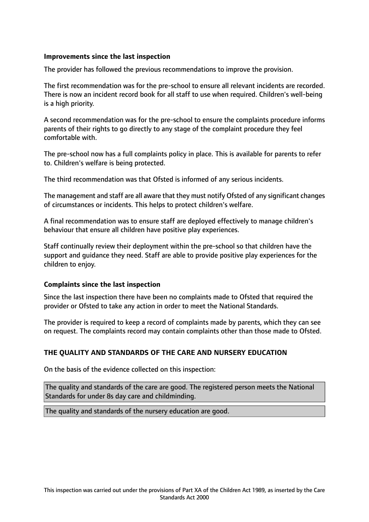## **Improvements since the last inspection**

The provider has followed the previous recommendations to improve the provision.

The first recommendation was for the pre-school to ensure all relevant incidents are recorded. There is now an incident record book for all staff to use when required. Children's well-being is a high priority.

A second recommendation was for the pre-school to ensure the complaints procedure informs parents of their rights to go directly to any stage of the complaint procedure they feel comfortable with.

The pre-school now has a full complaints policy in place. This is available for parents to refer to. Children's welfare is being protected.

The third recommendation was that Ofsted is informed of any serious incidents.

The management and staff are all aware that they must notify Ofsted of any significant changes of circumstances or incidents. This helps to protect children's welfare.

A final recommendation was to ensure staff are deployed effectively to manage children's behaviour that ensure all children have positive play experiences.

Staff continually review their deployment within the pre-school so that children have the support and guidance they need. Staff are able to provide positive play experiences for the children to enjoy.

#### **Complaints since the last inspection**

Since the last inspection there have been no complaints made to Ofsted that required the provider or Ofsted to take any action in order to meet the National Standards.

The provider is required to keep a record of complaints made by parents, which they can see on request. The complaints record may contain complaints other than those made to Ofsted.

## **THE QUALITY AND STANDARDS OF THE CARE AND NURSERY EDUCATION**

On the basis of the evidence collected on this inspection:

The quality and standards of the care are good. The registered person meets the National Standards for under 8s day care and childminding.

The quality and standards of the nursery education are good.